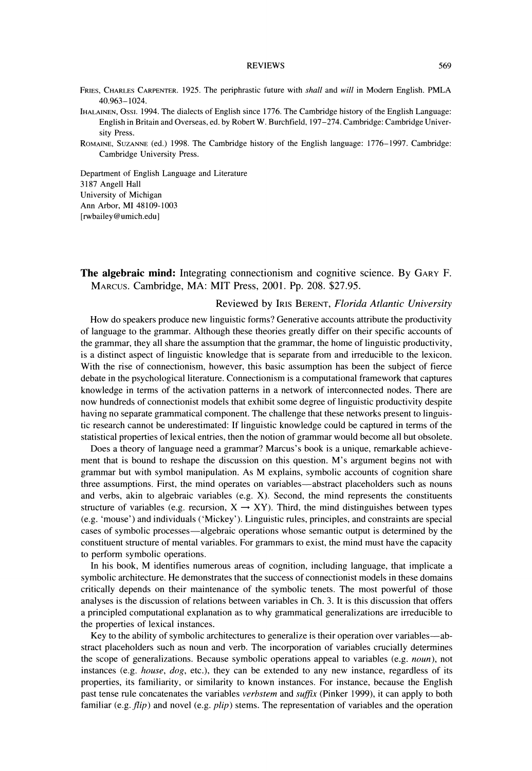## **REVIEWS**

- **FRIES, CHARLES CARPENTER. 1925. The periphrastic future with shall and will in Modern English. PMLA 40.963-1024.**
- **IHALAINEN, OSSI. 1994. The dialects of English since 1776. The Cambridge history of the English Language: English in Britain and Overseas, ed. by Robert W. Burchfield, 197-274. Cambridge: Cambridge University Press.**
- **ROMAINE, SUZANNE (ed.) 1998. The Cambridge history of the English language: 1776-1997. Cambridge: Cambridge University Press.**

**Department of English Language and Literature 3187 Angell Hall University of Michigan Ann Arbor, MI 48109-1003 [rwbailey@umich.edu]** 

**The algebraic mind:** Integrating connectionism and cognitive science. By GARY F. **MARCUS. Cambridge, MA: MIT Press, 2001. Pp. 208. \$27.95.** 

## **Reviewed by IRIS BERENT, Florida Atlantic University**

**How do speakers produce new linguistic forms? Generative accounts attribute the productivity of language to the grammar. Although these theories greatly differ on their specific accounts of the grammar, they all share the assumption that the grammar, the home of linguistic productivity, is a distinct aspect of linguistic knowledge that is separate from and irreducible to the lexicon. With the rise of connectionism, however, this basic assumption has been the subject of fierce debate in the psychological literature. Connectionism is a computational framework that captures knowledge in terms of the activation patterns in a network of interconnected nodes. There are now hundreds of connectionist models that exhibit some degree of linguistic productivity despite having no separate grammatical component. The challenge that these networks present to linguistic research cannot be underestimated: If linguistic knowledge could be captured in terms of the statistical properties of lexical entries, then the notion of grammar would become all but obsolete.** 

**Does a theory of language need a grammar? Marcus's book is a unique, remarkable achievement that is bound to reshape the discussion on this question. M's argument begins not with grammar but with symbol manipulation. As M explains, symbolic accounts of cognition share**  three assumptions. First, the mind operates on variables-abstract placeholders such as nouns **and verbs, akin to algebraic variables (e.g. X). Second, the mind represents the constituents**  structure of variables (e.g. recursion,  $X \rightarrow XY$ ). Third, the mind distinguishes between types **(e.g. 'mouse') and individuals ('Mickey'). Linguistic rules, principles, and constraints are special cases of symbolic processes-algebraic operations whose semantic output is determined by the constituent structure of mental variables. For grammars to exist, the mind must have the capacity to perform symbolic operations.** 

**In his book, M identifies numerous areas of cognition, including language, that implicate a symbolic architecture. He demonstrates that the success of connectionist models in these domains critically depends on their maintenance of the symbolic tenets. The most powerful of those analyses is the discussion of relations between variables in Ch. 3. It is this discussion that offers a principled computational explanation as to why grammatical generalizations are irreducible to the properties of lexical instances.** 

**Key to the ability of symbolic architectures to generalize is their operation over variables-abstract placeholders such as noun and verb. The incorporation of variables crucially determines the scope of generalizations. Because symbolic operations appeal to variables (e.g. noun), not instances (e.g. house, dog, etc.), they can be extended to any new instance, regardless of its properties, its familiarity, or similarity to known instances. For instance, because the English past tense rule concatenates the variables verbstem and suffix (Pinker 1999), it can apply to both familiar (e.g. flip) and novel (e.g. plip) stems. The representation of variables and the operation**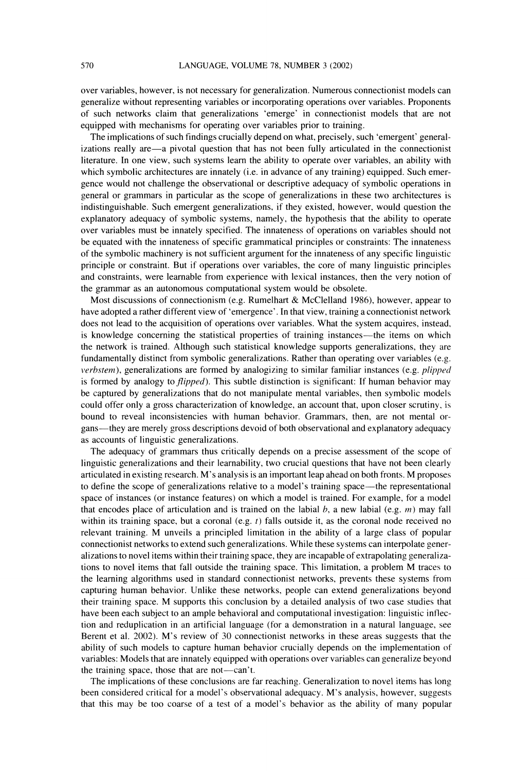**over variables, however, is not necessary for generalization. Numerous connectionist models can generalize without representing variables or incorporating operations over variables. Proponents of such networks claim that generalizations 'emerge' in connectionist models that are not equipped with mechanisms for operating over variables prior to training.** 

**The implications of such findings crucially depend on what, precisely, such 'emergent' generalizations really are-a pivotal question that has not been fully articulated in the connectionist literature. In one view, such systems learn the ability to operate over variables, an ability with**  which symbolic architectures are innately (i.e. in advance of any training) equipped. Such emer**gence would not challenge the observational or descriptive adequacy of symbolic operations in general or grammars in particular as the scope of generalizations in these two architectures is indistinguishable. Such emergent generalizations, if they existed, however, would question the explanatory adequacy of symbolic systems, namely, the hypothesis that the ability to operate over variables must be innately specified. The innateness of operations on variables should not be equated with the innateness of specific grammatical principles or constraints: The innateness of the symbolic machinery is not sufficient argument for the innateness of any specific linguistic principle or constraint. But if operations over variables, the core of many linguistic principles and constraints, were learnable from experience with lexical instances, then the very notion of the grammar as an autonomous computational system would be obsolete.** 

**Most discussions of connectionism (e.g. Rumelhart & McClelland 1986), however, appear to have adopted a rather different view of 'emergence'. In that view, training a connectionist network does not lead to the acquisition of operations over variables. What the system acquires, instead,**  is knowledge concerning the statistical properties of training instances—the items on which **the network is trained. Although such statistical knowledge supports generalizations, they are fundamentally distinct from symbolic generalizations. Rather than operating over variables (e.g. verbstem), generalizations are formed by analogizing to similar familiar instances (e.g. plipped is formed by analogy to flipped). This subtle distinction is significant: If human behavior may be captured by generalizations that do not manipulate mental variables, then symbolic models could offer only a gross characterization of knowledge, an account that, upon closer scrutiny, is bound to reveal inconsistencies with human behavior. Grammars, then, are not mental organs-they are merely gross descriptions devoid of both observational and explanatory adequacy as accounts of linguistic generalizations.** 

**The adequacy of grammars thus critically depends on a precise assessment of the scope of linguistic generalizations and their learnability, two crucial questions that have not been clearly articulated in existing research. M's analysis is an important leap ahead on both fronts. M proposes to define the scope of generalizations relative to a model's training space-the representational space of instances (or instance features) on which a model is trained. For example, for a model**  that encodes place of articulation and is trained on the labial  $b$ , a new labial (e.g.  $m$ ) may fall within its training space, but a coronal (e.g. t) falls outside it, as the coronal node received no **relevant training. M unveils a principled limitation in the ability of a large class of popular connectionist networks to extend such generalizations. While these systems can interpolate generalizations to novel items within their training space, they are incapable of extrapolating generalizations to novel items that fall outside the training space. This limitation, a problem M traces to the learning algorithms used in standard connectionist networks, prevents these systems from capturing human behavior. Unlike these networks, people can extend generalizations beyond their training space. M supports this conclusion by a detailed analysis of two case studies that have been each subject to an ample behavioral and computational investigation: linguistic inflection and reduplication in an artificial language (for a demonstration in a natural language, see Berent et al. 2002). M's review of 30 connectionist networks in these areas suggests that the ability of such models to capture human behavior crucially depends on the implementation of variables: Models that are innately equipped with operations over variables can generalize beyond**  the training space, those that are not-can't.

**The implications of these conclusions are far reaching. Generalization to novel items has long been considered critical for a model's observational adequacy. M's analysis, however, suggests that this may be too coarse of a test of a model's behavior as the ability of many popular**